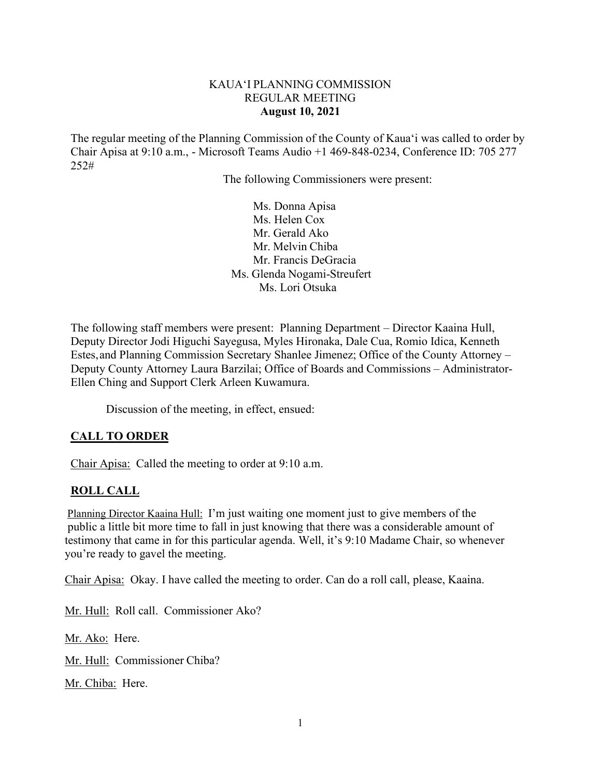### KAUA'I PLANNING COMMISSION REGULAR MEETING **August 10, 2021**

The regular meeting of the Planning Commission of the County of Kaua'i was called to order by Chair Apisa at 9:10 a.m., - Microsoft Teams Audio +1 469-848-0234, Conference ID: 705 277 252#

The following Commissioners were present:

Ms. Donna Apisa Ms. Helen Cox Mr. Gerald Ako Mr. Melvin Chiba Mr. Francis DeGracia Ms. Glenda Nogami-Streufert Ms. Lori Otsuka

The following staff members were present: Planning Department – Director Kaaina Hull, Deputy Director Jodi Higuchi Sayegusa, Myles Hironaka, Dale Cua, Romio Idica, Kenneth Estes, and Planning Commission Secretary Shanlee Jimenez; Office of the County Attorney – Deputy County Attorney Laura Barzilai; Office of Boards and Commissions – Administrator-Ellen Ching and Support Clerk Arleen Kuwamura.

Discussion of the meeting, in effect, ensued:

# **CALL TO ORDER**

Chair Apisa: Called the meeting to order at 9:10 a.m.

### **ROLL CALL**

Planning Director Kaaina Hull: I'm just waiting one moment just to give members of the public a little bit more time to fall in just knowing that there was a considerable amount of testimony that came in for this particular agenda. Well, it's 9:10 Madame Chair, so whenever you're ready to gavel the meeting.

Chair Apisa: Okay. I have called the meeting to order. Can do a roll call, please, Kaaina.

Mr. Hull: Roll call. Commissioner Ako?

Mr. Ako: Here.

Mr. Hull: Commissioner Chiba?

Mr. Chiba: Here.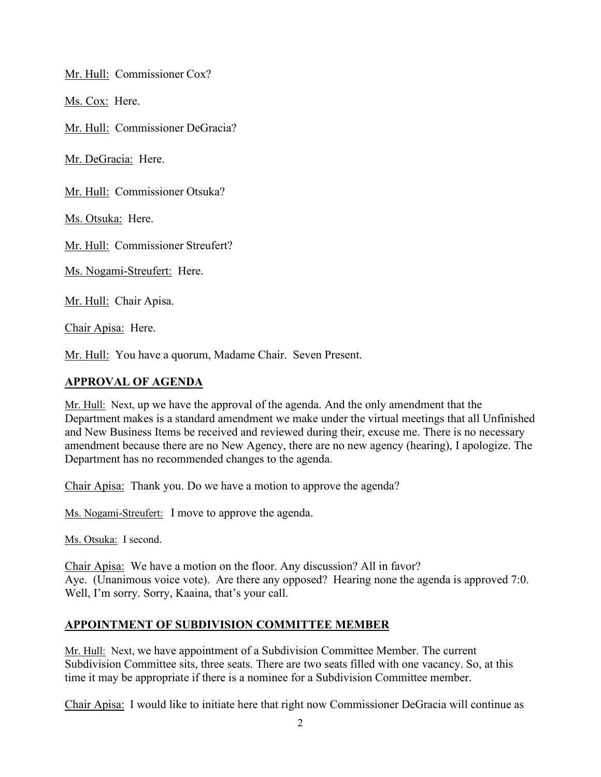Mr. Hull: Commissioner Cox?

Ms. Cox: Here.

Mr. Hull: Commissioner DeGracia?

Mr. DeGracia: Here.

Mr. Hull: Commissioner Otsuka?

Ms. Otsuka: Here.

Mr. Hull: Commissioner Streufert?

Ms. Nogami-Streufert: Here.

Mr. Hull: Chair Apisa.

Chair Apisa: Here.

Mr. Hull: You have a quorum, Madame Chair. Seven Present.

### **APPROVAL OF AGENDA**

Mr. Hull: Next, up we have the approval of the agenda. And the only amendment that the Department makes is a standard amendment we make under the virtual meetings that all Unfinished and New Business Items be received and reviewed during their, excuse me. There is no necessary amendment because there are no New Agency, there are no new agency (hearing), I apologize. The Department has no recommended changes to the agenda.

Chair Apisa: Thank you. Do we have a motion to approve the agenda?

Ms. Nogami-Streufert: I move to approve the agenda.

Ms. Otsuka: I second.

Chair Apisa: We have a motion on the floor. Any discussion? All in favor? Aye. (Unanimous voice vote). Are there any opposed? Hearing none the agenda is approved 7:0. Well, I'm sorry. Sorry, Kaaina, that's your call.

# **APPOINTMENT OF SUBDIVISION COMMITTEE MEMBER**

Mr. Hull: Next, we have appointment of a Subdivision Committee Member. The current Subdivision Committee sits, three seats. There are two seats filled with one vacancy. So, at this time it may be appropriate if there is a nominee for a Subdivision Committee member.

Chair Apisa: I would like to initiate here that right now Commissioner DeGracia will continue as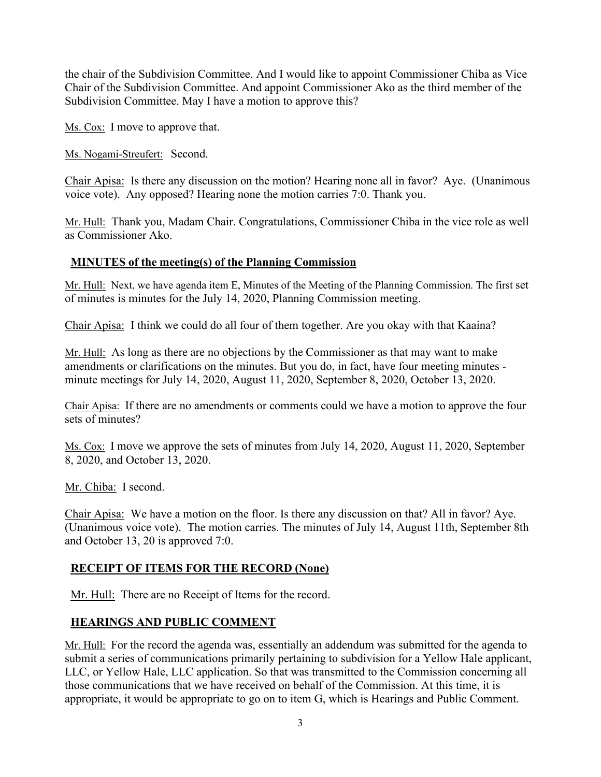the chair of the Subdivision Committee. And I would like to appoint Commissioner Chiba as Vice Chair of the Subdivision Committee. And appoint Commissioner Ako as the third member of the Subdivision Committee. May I have a motion to approve this?

Ms. Cox: I move to approve that.

Ms. Nogami-Streufert: Second.

Chair Apisa: Is there any discussion on the motion? Hearing none all in favor? Aye. (Unanimous voice vote). Any opposed? Hearing none the motion carries 7:0. Thank you.

Mr. Hull: Thank you, Madam Chair. Congratulations, Commissioner Chiba in the vice role as well as Commissioner Ako.

# **MINUTES of the meeting(s) of the Planning Commission**

Mr. Hull: Next, we have agenda item E, Minutes of the Meeting of the Planning Commission. The first set of minutes is minutes for the July 14, 2020, Planning Commission meeting.

Chair Apisa: I think we could do all four of them together. Are you okay with that Kaaina?

Mr. Hull: As long as there are no objections by the Commissioner as that may want to make amendments or clarifications on the minutes. But you do, in fact, have four meeting minutes minute meetings for July 14, 2020, August 11, 2020, September 8, 2020, October 13, 2020.

Chair Apisa: If there are no amendments or comments could we have a motion to approve the four sets of minutes?

Ms. Cox: I move we approve the sets of minutes from July 14, 2020, August 11, 2020, September 8, 2020, and October 13, 2020.

Mr. Chiba: I second.

Chair Apisa: We have a motion on the floor. Is there any discussion on that? All in favor? Aye. (Unanimous voice vote). The motion carries. The minutes of July 14, August 11th, September 8th and October 13, 20 is approved 7:0.

# **RECEIPT OF ITEMS FOR THE RECORD (None)**

Mr. Hull: There are no Receipt of Items for the record.

# **HEARINGS AND PUBLIC COMMENT**

Mr. Hull: For the record the agenda was, essentially an addendum was submitted for the agenda to submit a series of communications primarily pertaining to subdivision for a Yellow Hale applicant, LLC, or Yellow Hale, LLC application. So that was transmitted to the Commission concerning all those communications that we have received on behalf of the Commission. At this time, it is appropriate, it would be appropriate to go on to item G, which is Hearings and Public Comment.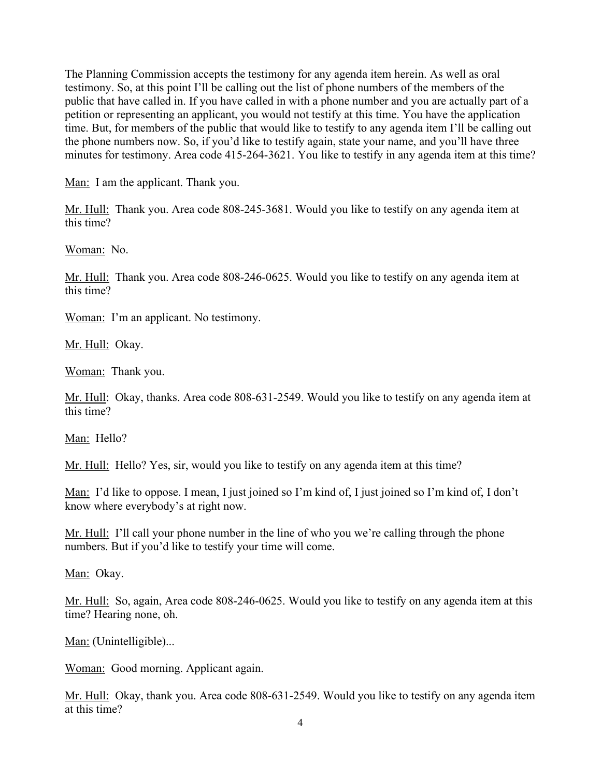The Planning Commission accepts the testimony for any agenda item herein. As well as oral testimony. So, at this point I'll be calling out the list of phone numbers of the members of the public that have called in. If you have called in with a phone number and you are actually part of a petition or representing an applicant, you would not testify at this time. You have the application time. But, for members of the public that would like to testify to any agenda item I'll be calling out the phone numbers now. So, if you'd like to testify again, state your name, and you'll have three minutes for testimony. Area code 415-264-3621. You like to testify in any agenda item at this time?

Man: I am the applicant. Thank you.

Mr. Hull: Thank you. Area code 808-245-3681. Would you like to testify on any agenda item at this time?

Woman: No.

Mr. Hull: Thank you. Area code 808-246-0625. Would you like to testify on any agenda item at this time?

Woman: I'm an applicant. No testimony.

Mr. Hull: Okay.

Woman: Thank you.

Mr. Hull: Okay, thanks. Area code 808-631-2549. Would you like to testify on any agenda item at this time?

Man: Hello?

Mr. Hull: Hello? Yes, sir, would you like to testify on any agenda item at this time?

Man: I'd like to oppose. I mean, I just joined so I'm kind of, I just joined so I'm kind of, I don't know where everybody's at right now.

Mr. Hull: I'll call your phone number in the line of who you we're calling through the phone numbers. But if you'd like to testify your time will come.

Man: Okay.

Mr. Hull: So, again, Area code 808-246-0625. Would you like to testify on any agenda item at this time? Hearing none, oh.

Man: (Unintelligible)...

Woman: Good morning. Applicant again.

Mr. Hull: Okay, thank you. Area code 808-631-2549. Would you like to testify on any agenda item at this time?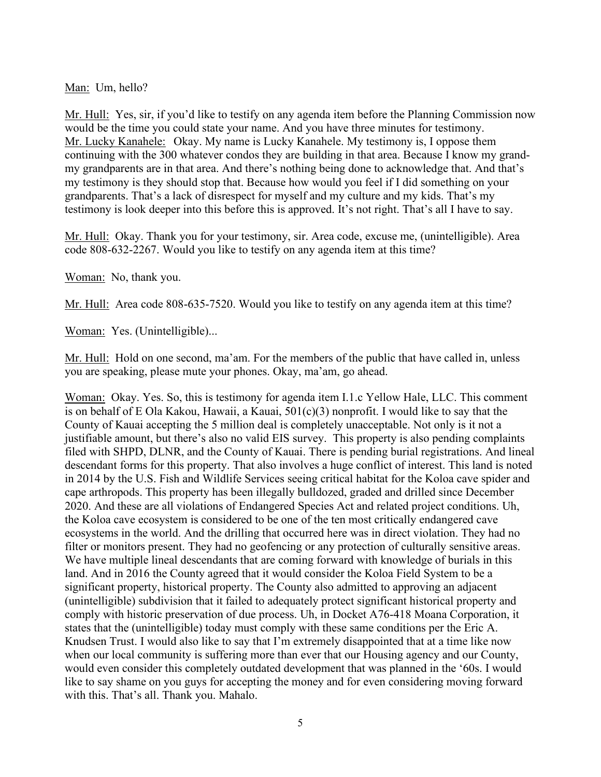Man: Um, hello?

Mr. Hull: Yes, sir, if you'd like to testify on any agenda item before the Planning Commission now would be the time you could state your name. And you have three minutes for testimony. Mr. Lucky Kanahele: Okay. My name is Lucky Kanahele. My testimony is, I oppose them continuing with the 300 whatever condos they are building in that area. Because I know my grandmy grandparents are in that area. And there's nothing being done to acknowledge that. And that's my testimony is they should stop that. Because how would you feel if I did something on your grandparents. That's a lack of disrespect for myself and my culture and my kids. That's my testimony is look deeper into this before this is approved. It's not right. That's all I have to say.

Mr. Hull: Okay. Thank you for your testimony, sir. Area code, excuse me, (unintelligible). Area code 808-632-2267. Would you like to testify on any agenda item at this time?

Woman: No, thank you.

Mr. Hull: Area code 808-635-7520. Would you like to testify on any agenda item at this time?

Woman: Yes. (Unintelligible)...

Mr. Hull: Hold on one second, ma'am. For the members of the public that have called in, unless you are speaking, please mute your phones. Okay, ma'am, go ahead.

Woman: Okay. Yes. So, this is testimony for agenda item I.1.c Yellow Hale, LLC. This comment is on behalf of E Ola Kakou, Hawaii, a Kauai, 501(c)(3) nonprofit. I would like to say that the County of Kauai accepting the 5 million deal is completely unacceptable. Not only is it not a justifiable amount, but there's also no valid EIS survey. This property is also pending complaints filed with SHPD, DLNR, and the County of Kauai. There is pending burial registrations. And lineal descendant forms for this property. That also involves a huge conflict of interest. This land is noted in 2014 by the U.S. Fish and Wildlife Services seeing critical habitat for the Koloa cave spider and cape arthropods. This property has been illegally bulldozed, graded and drilled since December 2020. And these are all violations of Endangered Species Act and related project conditions. Uh, the Koloa cave ecosystem is considered to be one of the ten most critically endangered cave ecosystems in the world. And the drilling that occurred here was in direct violation. They had no filter or monitors present. They had no geofencing or any protection of culturally sensitive areas. We have multiple lineal descendants that are coming forward with knowledge of burials in this land. And in 2016 the County agreed that it would consider the Koloa Field System to be a significant property, historical property. The County also admitted to approving an adjacent (unintelligible) subdivision that it failed to adequately protect significant historical property and comply with historic preservation of due process. Uh, in Docket A76-418 Moana Corporation, it states that the (unintelligible) today must comply with these same conditions per the Eric A. Knudsen Trust. I would also like to say that I'm extremely disappointed that at a time like now when our local community is suffering more than ever that our Housing agency and our County, would even consider this completely outdated development that was planned in the '60s. I would like to say shame on you guys for accepting the money and for even considering moving forward with this. That's all. Thank you. Mahalo.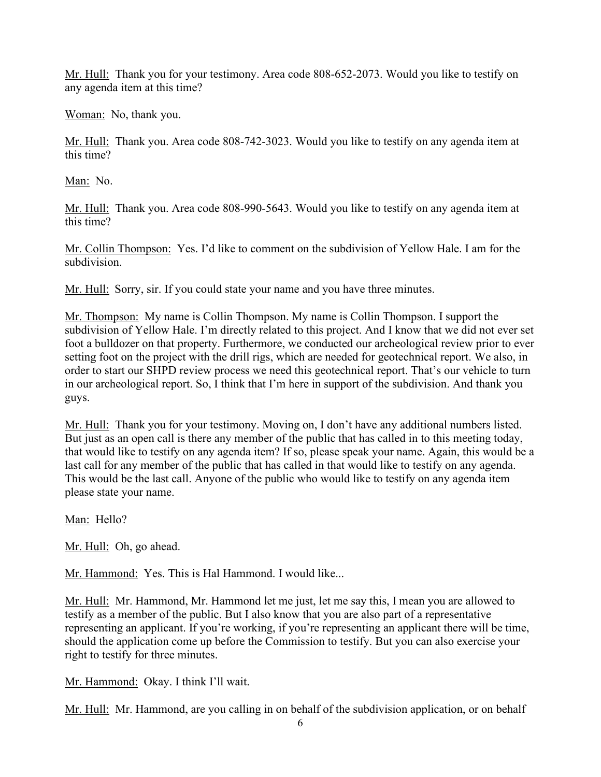Mr. Hull: Thank you for your testimony. Area code 808-652-2073. Would you like to testify on any agenda item at this time?

Woman: No, thank you.

Mr. Hull: Thank you. Area code 808-742-3023. Would you like to testify on any agenda item at this time?

Man: No.

Mr. Hull: Thank you. Area code 808-990-5643. Would you like to testify on any agenda item at this time?

Mr. Collin Thompson: Yes. I'd like to comment on the subdivision of Yellow Hale. I am for the subdivision.

Mr. Hull: Sorry, sir. If you could state your name and you have three minutes.

Mr. Thompson: My name is Collin Thompson. My name is Collin Thompson. I support the subdivision of Yellow Hale. I'm directly related to this project. And I know that we did not ever set foot a bulldozer on that property. Furthermore, we conducted our archeological review prior to ever setting foot on the project with the drill rigs, which are needed for geotechnical report. We also, in order to start our SHPD review process we need this geotechnical report. That's our vehicle to turn in our archeological report. So, I think that I'm here in support of the subdivision. And thank you guys.

Mr. Hull: Thank you for your testimony. Moving on, I don't have any additional numbers listed. But just as an open call is there any member of the public that has called in to this meeting today, that would like to testify on any agenda item? If so, please speak your name. Again, this would be a last call for any member of the public that has called in that would like to testify on any agenda. This would be the last call. Anyone of the public who would like to testify on any agenda item please state your name.

Man: Hello?

Mr. Hull: Oh, go ahead.

Mr. Hammond: Yes. This is Hal Hammond. I would like...

Mr. Hull: Mr. Hammond, Mr. Hammond let me just, let me say this, I mean you are allowed to testify as a member of the public. But I also know that you are also part of a representative representing an applicant. If you're working, if you're representing an applicant there will be time, should the application come up before the Commission to testify. But you can also exercise your right to testify for three minutes.

Mr. Hammond: Okay. I think I'll wait.

Mr. Hull: Mr. Hammond, are you calling in on behalf of the subdivision application, or on behalf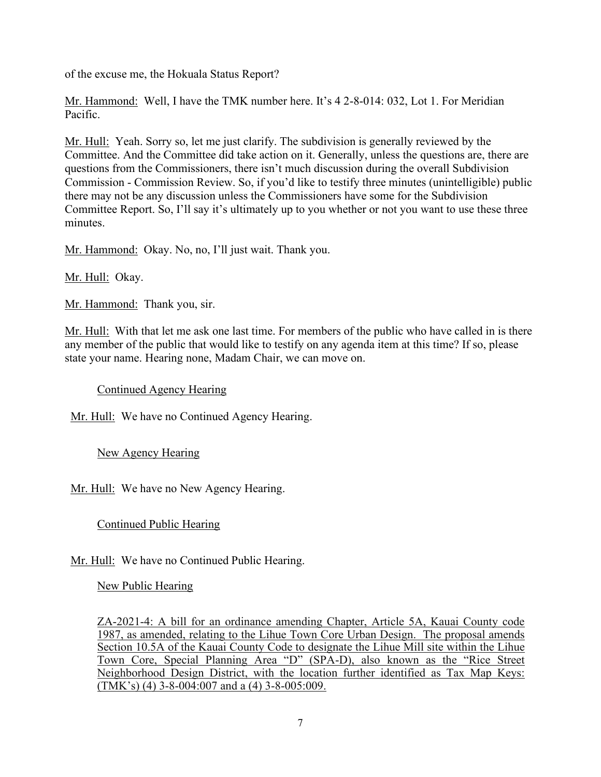of the excuse me, the Hokuala Status Report?

Mr. Hammond: Well, I have the TMK number here. It's 4 2-8-014: 032, Lot 1. For Meridian Pacific.

Mr. Hull: Yeah. Sorry so, let me just clarify. The subdivision is generally reviewed by the Committee. And the Committee did take action on it. Generally, unless the questions are, there are questions from the Commissioners, there isn't much discussion during the overall Subdivision Commission - Commission Review. So, if you'd like to testify three minutes (unintelligible) public there may not be any discussion unless the Commissioners have some for the Subdivision Committee Report. So, I'll say it's ultimately up to you whether or not you want to use these three minutes.

Mr. Hammond: Okay. No, no, I'll just wait. Thank you.

Mr. Hull: Okay.

Mr. Hammond: Thank you, sir.

Mr. Hull: With that let me ask one last time. For members of the public who have called in is there any member of the public that would like to testify on any agenda item at this time? If so, please state your name. Hearing none, Madam Chair, we can move on.

Continued Agency Hearing

Mr. Hull: We have no Continued Agency Hearing.

New Agency Hearing

Mr. Hull: We have no New Agency Hearing.

Continued Public Hearing

Mr. Hull: We have no Continued Public Hearing.

New Public Hearing

ZA-2021-4: A bill for an ordinance amending Chapter, Article 5A, Kauai County code 1987, as amended, relating to the Lihue Town Core Urban Design. The proposal amends Section 10.5A of the Kauai County Code to designate the Lihue Mill site within the Lihue Town Core, Special Planning Area "D" (SPA-D), also known as the "Rice Street Neighborhood Design District, with the location further identified as Tax Map Keys: (TMK's) (4) 3-8-004:007 and a (4) 3-8-005:009.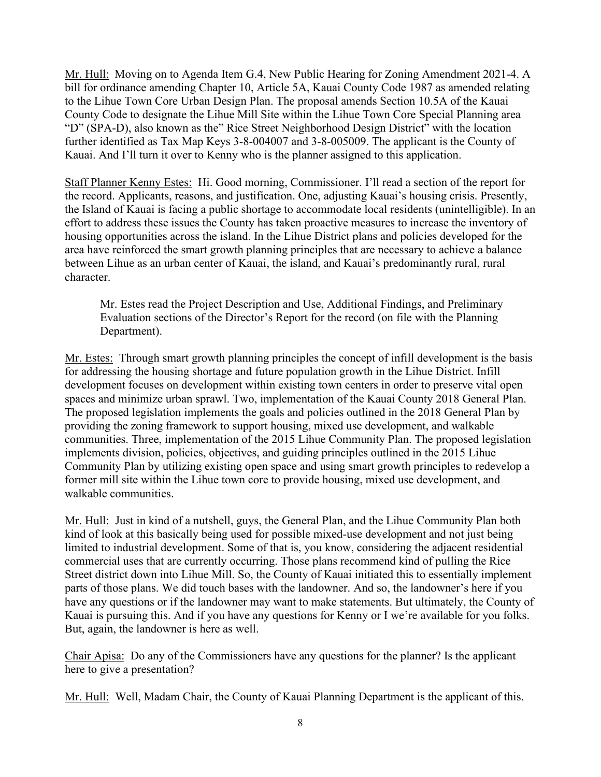Mr. Hull: Moving on to Agenda Item G.4, New Public Hearing for Zoning Amendment 2021-4. A bill for ordinance amending Chapter 10, Article 5A, Kauai County Code 1987 as amended relating to the Lihue Town Core Urban Design Plan. The proposal amends Section 10.5A of the Kauai County Code to designate the Lihue Mill Site within the Lihue Town Core Special Planning area "D" (SPA-D), also known as the" Rice Street Neighborhood Design District" with the location further identified as Tax Map Keys 3-8-004007 and 3-8-005009. The applicant is the County of Kauai. And I'll turn it over to Kenny who is the planner assigned to this application.

Staff Planner Kenny Estes: Hi. Good morning, Commissioner. I'll read a section of the report for the record. Applicants, reasons, and justification. One, adjusting Kauai's housing crisis. Presently, the Island of Kauai is facing a public shortage to accommodate local residents (unintelligible). In an effort to address these issues the County has taken proactive measures to increase the inventory of housing opportunities across the island. In the Lihue District plans and policies developed for the area have reinforced the smart growth planning principles that are necessary to achieve a balance between Lihue as an urban center of Kauai, the island, and Kauai's predominantly rural, rural character.

Mr. Estes read the Project Description and Use, Additional Findings, and Preliminary Evaluation sections of the Director's Report for the record (on file with the Planning Department).

Mr. Estes: Through smart growth planning principles the concept of infill development is the basis for addressing the housing shortage and future population growth in the Lihue District. Infill development focuses on development within existing town centers in order to preserve vital open spaces and minimize urban sprawl. Two, implementation of the Kauai County 2018 General Plan. The proposed legislation implements the goals and policies outlined in the 2018 General Plan by providing the zoning framework to support housing, mixed use development, and walkable communities. Three, implementation of the 2015 Lihue Community Plan. The proposed legislation implements division, policies, objectives, and guiding principles outlined in the 2015 Lihue Community Plan by utilizing existing open space and using smart growth principles to redevelop a former mill site within the Lihue town core to provide housing, mixed use development, and walkable communities.

Mr. Hull: Just in kind of a nutshell, guys, the General Plan, and the Lihue Community Plan both kind of look at this basically being used for possible mixed-use development and not just being limited to industrial development. Some of that is, you know, considering the adjacent residential commercial uses that are currently occurring. Those plans recommend kind of pulling the Rice Street district down into Lihue Mill. So, the County of Kauai initiated this to essentially implement parts of those plans. We did touch bases with the landowner. And so, the landowner's here if you have any questions or if the landowner may want to make statements. But ultimately, the County of Kauai is pursuing this. And if you have any questions for Kenny or I we're available for you folks. But, again, the landowner is here as well.

Chair Apisa: Do any of the Commissioners have any questions for the planner? Is the applicant here to give a presentation?

Mr. Hull: Well, Madam Chair, the County of Kauai Planning Department is the applicant of this.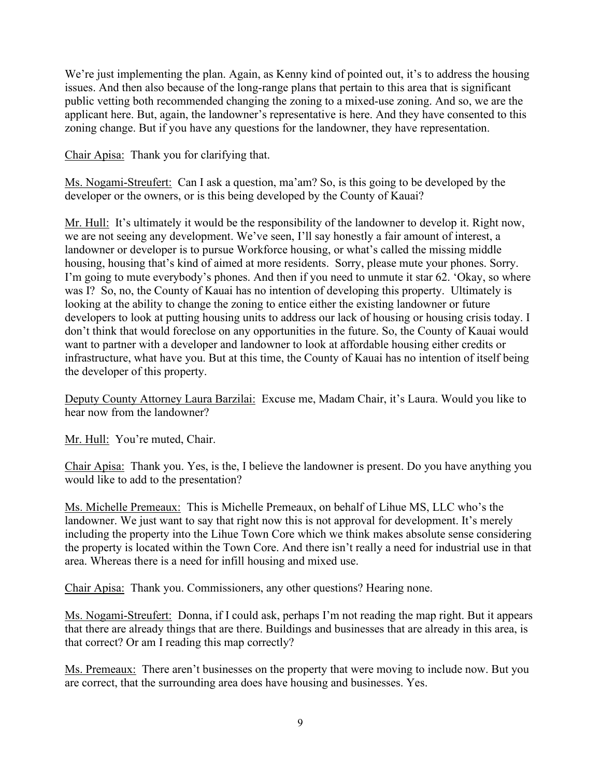We're just implementing the plan. Again, as Kenny kind of pointed out, it's to address the housing issues. And then also because of the long-range plans that pertain to this area that is significant public vetting both recommended changing the zoning to a mixed-use zoning. And so, we are the applicant here. But, again, the landowner's representative is here. And they have consented to this zoning change. But if you have any questions for the landowner, they have representation.

Chair Apisa: Thank you for clarifying that.

Ms. Nogami-Streufert: Can I ask a question, ma'am? So, is this going to be developed by the developer or the owners, or is this being developed by the County of Kauai?

Mr. Hull: It's ultimately it would be the responsibility of the landowner to develop it. Right now, we are not seeing any development. We've seen, I'll say honestly a fair amount of interest, a landowner or developer is to pursue Workforce housing, or what's called the missing middle housing, housing that's kind of aimed at more residents. Sorry, please mute your phones. Sorry. I'm going to mute everybody's phones. And then if you need to unmute it star 62. 'Okay, so where was I? So, no, the County of Kauai has no intention of developing this property. Ultimately is looking at the ability to change the zoning to entice either the existing landowner or future developers to look at putting housing units to address our lack of housing or housing crisis today. I don't think that would foreclose on any opportunities in the future. So, the County of Kauai would want to partner with a developer and landowner to look at affordable housing either credits or infrastructure, what have you. But at this time, the County of Kauai has no intention of itself being the developer of this property.

Deputy County Attorney Laura Barzilai: Excuse me, Madam Chair, it's Laura. Would you like to hear now from the landowner?

Mr. Hull: You're muted, Chair.

Chair Apisa: Thank you. Yes, is the, I believe the landowner is present. Do you have anything you would like to add to the presentation?

Ms. Michelle Premeaux: This is Michelle Premeaux, on behalf of Lihue MS, LLC who's the landowner. We just want to say that right now this is not approval for development. It's merely including the property into the Lihue Town Core which we think makes absolute sense considering the property is located within the Town Core. And there isn't really a need for industrial use in that area. Whereas there is a need for infill housing and mixed use.

Chair Apisa: Thank you. Commissioners, any other questions? Hearing none.

Ms. Nogami-Streufert: Donna, if I could ask, perhaps I'm not reading the map right. But it appears that there are already things that are there. Buildings and businesses that are already in this area, is that correct? Or am I reading this map correctly?

Ms. Premeaux: There aren't businesses on the property that were moving to include now. But you are correct, that the surrounding area does have housing and businesses. Yes.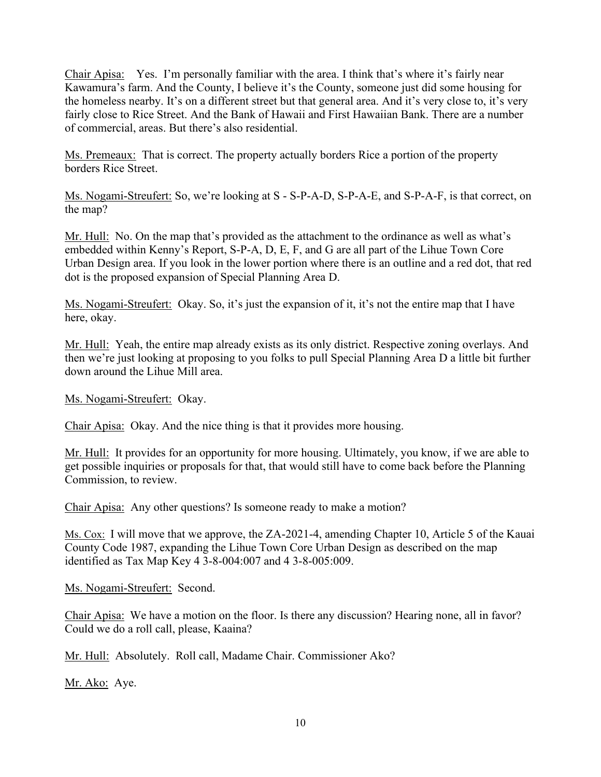Chair Apisa: Yes. I'm personally familiar with the area. I think that's where it's fairly near Kawamura's farm. And the County, I believe it's the County, someone just did some housing for the homeless nearby. It's on a different street but that general area. And it's very close to, it's very fairly close to Rice Street. And the Bank of Hawaii and First Hawaiian Bank. There are a number of commercial, areas. But there's also residential.

Ms. Premeaux: That is correct. The property actually borders Rice a portion of the property borders Rice Street.

Ms. Nogami-Streufert: So, we're looking at S - S-P-A-D, S-P-A-E, and S-P-A-F, is that correct, on the map?

Mr. Hull: No. On the map that's provided as the attachment to the ordinance as well as what's embedded within Kenny's Report, S-P-A, D, E, F, and G are all part of the Lihue Town Core Urban Design area. If you look in the lower portion where there is an outline and a red dot, that red dot is the proposed expansion of Special Planning Area D.

Ms. Nogami-Streufert: Okay. So, it's just the expansion of it, it's not the entire map that I have here, okay.

Mr. Hull: Yeah, the entire map already exists as its only district. Respective zoning overlays. And then we're just looking at proposing to you folks to pull Special Planning Area D a little bit further down around the Lihue Mill area.

Ms. Nogami-Streufert: Okay.

Chair Apisa: Okay. And the nice thing is that it provides more housing.

Mr. Hull: It provides for an opportunity for more housing. Ultimately, you know, if we are able to get possible inquiries or proposals for that, that would still have to come back before the Planning Commission, to review.

Chair Apisa: Any other questions? Is someone ready to make a motion?

Ms. Cox: I will move that we approve, the ZA-2021-4, amending Chapter 10, Article 5 of the Kauai County Code 1987, expanding the Lihue Town Core Urban Design as described on the map identified as Tax Map Key 4 3-8-004:007 and 4 3-8-005:009.

Ms. Nogami-Streufert: Second.

Chair Apisa: We have a motion on the floor. Is there any discussion? Hearing none, all in favor? Could we do a roll call, please, Kaaina?

Mr. Hull: Absolutely. Roll call, Madame Chair. Commissioner Ako?

Mr. Ako: Aye.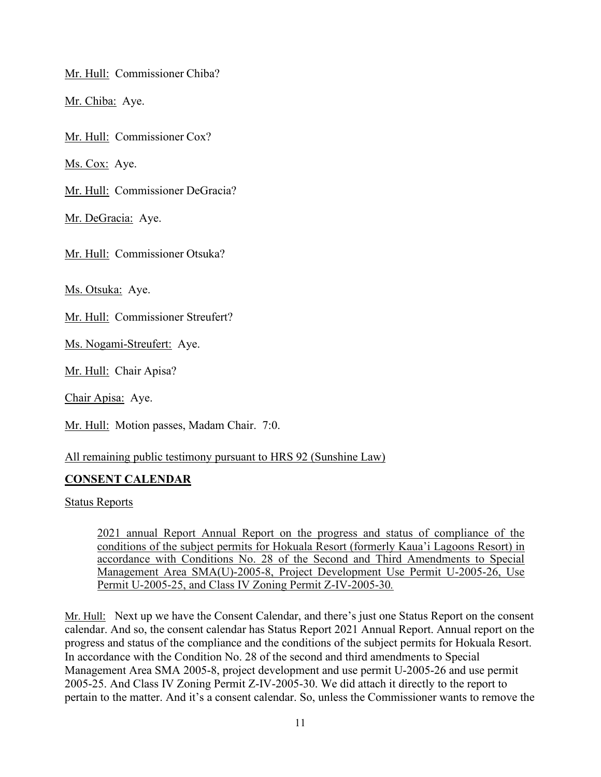Mr. Hull: Commissioner Chiba?

Mr. Chiba: Aye.

Mr. Hull: Commissioner Cox?

Ms. Cox: Aye.

Mr. Hull: Commissioner DeGracia?

Mr. DeGracia: Aye.

Mr. Hull: Commissioner Otsuka?

Ms. Otsuka: Aye.

Mr. Hull: Commissioner Streufert?

Ms. Nogami-Streufert: Aye.

Mr. Hull: Chair Apisa?

Chair Apisa: Aye.

Mr. Hull: Motion passes, Madam Chair. 7:0.

All remaining public testimony pursuant to HRS 92 (Sunshine Law)

# **CONSENT CALENDAR**

Status Reports

2021 annual Report Annual Report on the progress and status of compliance of the conditions of the subject permits for Hokuala Resort (formerly Kaua'i Lagoons Resort) in accordance with Conditions No. 28 of the Second and Third Amendments to Special Management Area SMA(U)-2005-8, Project Development Use Permit U-2005-26, Use Permit U-2005-25, and Class IV Zoning Permit Z-IV-2005-30*.*

Mr. Hull: Next up we have the Consent Calendar, and there's just one Status Report on the consent calendar. And so, the consent calendar has Status Report 2021 Annual Report. Annual report on the progress and status of the compliance and the conditions of the subject permits for Hokuala Resort. In accordance with the Condition No. 28 of the second and third amendments to Special Management Area SMA 2005-8, project development and use permit U-2005-26 and use permit 2005-25. And Class IV Zoning Permit Z-IV-2005-30. We did attach it directly to the report to pertain to the matter. And it's a consent calendar. So, unless the Commissioner wants to remove the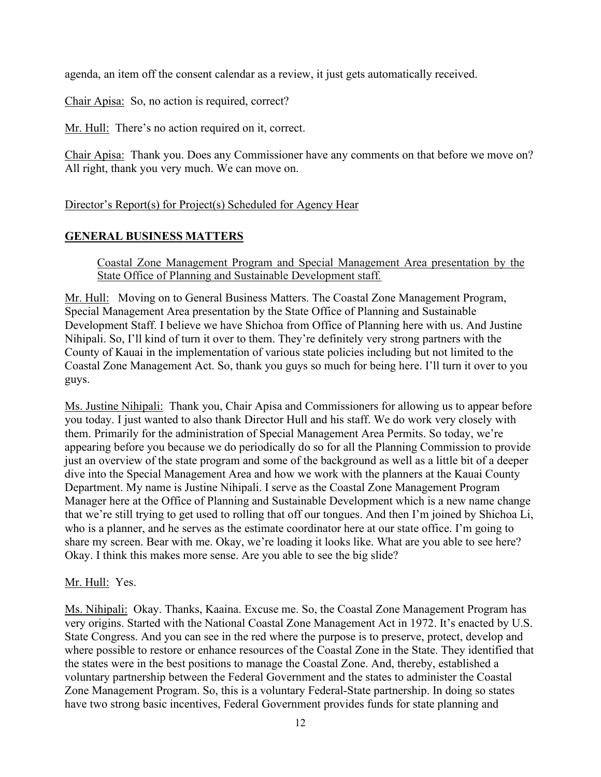agenda, an item off the consent calendar as a review, it just gets automatically received.

Chair Apisa: So, no action is required, correct?

Mr. Hull: There's no action required on it, correct.

Chair Apisa: Thank you. Does any Commissioner have any comments on that before we move on? All right, thank you very much. We can move on.

Director's Report(s) for Project(s) Scheduled for Agency Hear

### **GENERAL BUSINESS MATTERS**

Coastal Zone Management Program and Special Management Area presentation by the State Office of Planning and Sustainable Development staff*.*

Mr. Hull: Moving on to General Business Matters. The Coastal Zone Management Program, Special Management Area presentation by the State Office of Planning and Sustainable Development Staff. I believe we have Shichoa from Office of Planning here with us. And Justine Nihipali. So, I'll kind of turn it over to them. They're definitely very strong partners with the County of Kauai in the implementation of various state policies including but not limited to the Coastal Zone Management Act. So, thank you guys so much for being here. I'll turn it over to you guys.

Ms. Justine Nihipali: Thank you, Chair Apisa and Commissioners for allowing us to appear before you today. I just wanted to also thank Director Hull and his staff. We do work very closely with them. Primarily for the administration of Special Management Area Permits. So today, we're appearing before you because we do periodically do so for all the Planning Commission to provide just an overview of the state program and some of the background as well as a little bit of a deeper dive into the Special Management Area and how we work with the planners at the Kauai County Department. My name is Justine Nihipali. I serve as the Coastal Zone Management Program Manager here at the Office of Planning and Sustainable Development which is a new name change that we're still trying to get used to rolling that off our tongues. And then I'm joined by Shichoa Li, who is a planner, and he serves as the estimate coordinator here at our state office. I'm going to share my screen. Bear with me. Okay, we're loading it looks like. What are you able to see here? Okay. I think this makes more sense. Are you able to see the big slide?

### Mr. Hull: Yes.

Ms. Nihipali: Okay. Thanks, Kaaina. Excuse me. So, the Coastal Zone Management Program has very origins. Started with the National Coastal Zone Management Act in 1972. It's enacted by U.S. State Congress. And you can see in the red where the purpose is to preserve, protect, develop and where possible to restore or enhance resources of the Coastal Zone in the State. They identified that the states were in the best positions to manage the Coastal Zone. And, thereby, established a voluntary partnership between the Federal Government and the states to administer the Coastal Zone Management Program. So, this is a voluntary Federal-State partnership. In doing so states have two strong basic incentives, Federal Government provides funds for state planning and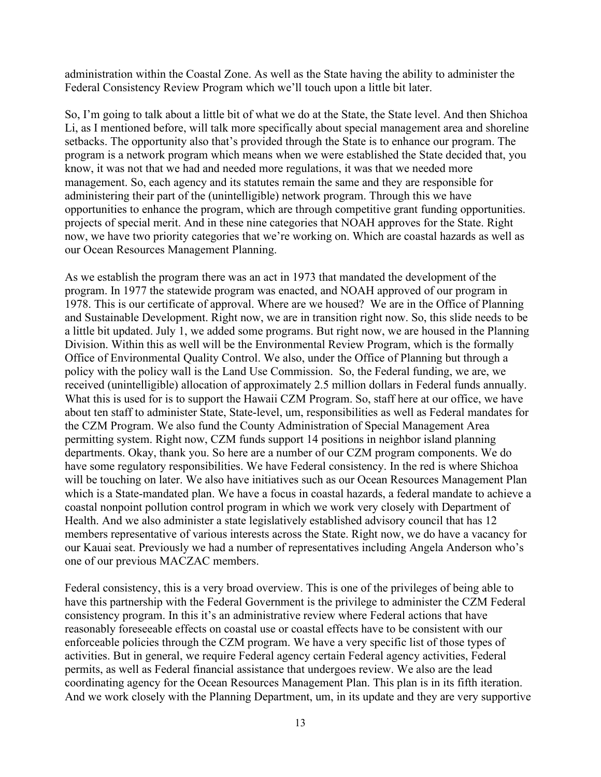administration within the Coastal Zone. As well as the State having the ability to administer the Federal Consistency Review Program which we'll touch upon a little bit later.

So, I'm going to talk about a little bit of what we do at the State, the State level. And then Shichoa Li, as I mentioned before, will talk more specifically about special management area and shoreline setbacks. The opportunity also that's provided through the State is to enhance our program. The program is a network program which means when we were established the State decided that, you know, it was not that we had and needed more regulations, it was that we needed more management. So, each agency and its statutes remain the same and they are responsible for administering their part of the (unintelligible) network program. Through this we have opportunities to enhance the program, which are through competitive grant funding opportunities. projects of special merit. And in these nine categories that NOAH approves for the State. Right now, we have two priority categories that we're working on. Which are coastal hazards as well as our Ocean Resources Management Planning.

As we establish the program there was an act in 1973 that mandated the development of the program. In 1977 the statewide program was enacted, and NOAH approved of our program in 1978. This is our certificate of approval. Where are we housed? We are in the Office of Planning and Sustainable Development. Right now, we are in transition right now. So, this slide needs to be a little bit updated. July 1, we added some programs. But right now, we are housed in the Planning Division. Within this as well will be the Environmental Review Program, which is the formally Office of Environmental Quality Control. We also, under the Office of Planning but through a policy with the policy wall is the Land Use Commission. So, the Federal funding, we are, we received (unintelligible) allocation of approximately 2.5 million dollars in Federal funds annually. What this is used for is to support the Hawaii CZM Program. So, staff here at our office, we have about ten staff to administer State, State-level, um, responsibilities as well as Federal mandates for the CZM Program. We also fund the County Administration of Special Management Area permitting system. Right now, CZM funds support 14 positions in neighbor island planning departments. Okay, thank you. So here are a number of our CZM program components. We do have some regulatory responsibilities. We have Federal consistency. In the red is where Shichoa will be touching on later. We also have initiatives such as our Ocean Resources Management Plan which is a State-mandated plan. We have a focus in coastal hazards, a federal mandate to achieve a coastal nonpoint pollution control program in which we work very closely with Department of Health. And we also administer a state legislatively established advisory council that has 12 members representative of various interests across the State. Right now, we do have a vacancy for our Kauai seat. Previously we had a number of representatives including Angela Anderson who's one of our previous MACZAC members.

Federal consistency, this is a very broad overview. This is one of the privileges of being able to have this partnership with the Federal Government is the privilege to administer the CZM Federal consistency program. In this it's an administrative review where Federal actions that have reasonably foreseeable effects on coastal use or coastal effects have to be consistent with our enforceable policies through the CZM program. We have a very specific list of those types of activities. But in general, we require Federal agency certain Federal agency activities, Federal permits, as well as Federal financial assistance that undergoes review. We also are the lead coordinating agency for the Ocean Resources Management Plan. This plan is in its fifth iteration. And we work closely with the Planning Department, um, in its update and they are very supportive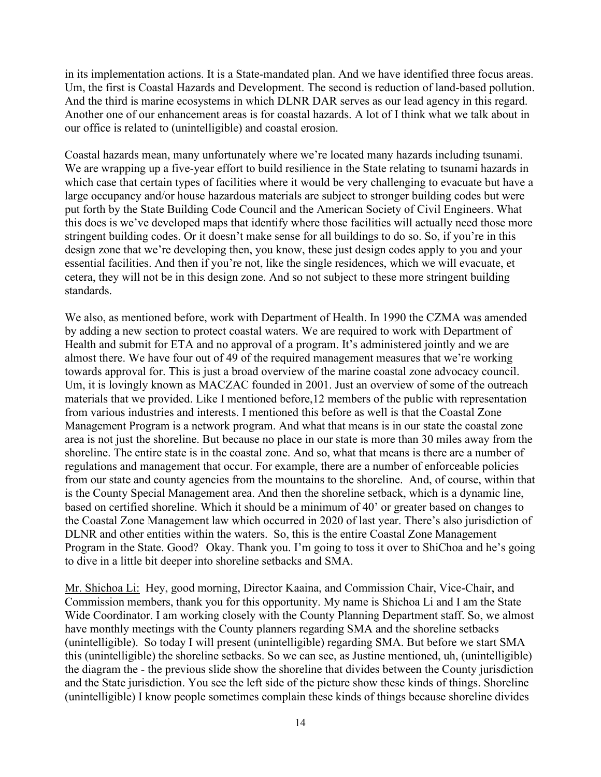in its implementation actions. It is a State-mandated plan. And we have identified three focus areas. Um, the first is Coastal Hazards and Development. The second is reduction of land-based pollution. And the third is marine ecosystems in which DLNR DAR serves as our lead agency in this regard. Another one of our enhancement areas is for coastal hazards. A lot of I think what we talk about in our office is related to (unintelligible) and coastal erosion.

Coastal hazards mean, many unfortunately where we're located many hazards including tsunami. We are wrapping up a five-year effort to build resilience in the State relating to tsunami hazards in which case that certain types of facilities where it would be very challenging to evacuate but have a large occupancy and/or house hazardous materials are subject to stronger building codes but were put forth by the State Building Code Council and the American Society of Civil Engineers. What this does is we've developed maps that identify where those facilities will actually need those more stringent building codes. Or it doesn't make sense for all buildings to do so. So, if you're in this design zone that we're developing then, you know, these just design codes apply to you and your essential facilities. And then if you're not, like the single residences, which we will evacuate, et cetera, they will not be in this design zone. And so not subject to these more stringent building standards.

We also, as mentioned before, work with Department of Health. In 1990 the CZMA was amended by adding a new section to protect coastal waters. We are required to work with Department of Health and submit for ETA and no approval of a program. It's administered jointly and we are almost there. We have four out of 49 of the required management measures that we're working towards approval for. This is just a broad overview of the marine coastal zone advocacy council. Um, it is lovingly known as MACZAC founded in 2001. Just an overview of some of the outreach materials that we provided. Like I mentioned before,12 members of the public with representation from various industries and interests. I mentioned this before as well is that the Coastal Zone Management Program is a network program. And what that means is in our state the coastal zone area is not just the shoreline. But because no place in our state is more than 30 miles away from the shoreline. The entire state is in the coastal zone. And so, what that means is there are a number of regulations and management that occur. For example, there are a number of enforceable policies from our state and county agencies from the mountains to the shoreline. And, of course, within that is the County Special Management area. And then the shoreline setback, which is a dynamic line, based on certified shoreline. Which it should be a minimum of 40' or greater based on changes to the Coastal Zone Management law which occurred in 2020 of last year. There's also jurisdiction of DLNR and other entities within the waters. So, this is the entire Coastal Zone Management Program in the State. Good? Okay. Thank you. I'm going to toss it over to ShiChoa and he's going to dive in a little bit deeper into shoreline setbacks and SMA.

Mr. Shichoa Li: Hey, good morning, Director Kaaina, and Commission Chair, Vice-Chair, and Commission members, thank you for this opportunity. My name is Shichoa Li and I am the State Wide Coordinator. I am working closely with the County Planning Department staff. So, we almost have monthly meetings with the County planners regarding SMA and the shoreline setbacks (unintelligible). So today I will present (unintelligible) regarding SMA. But before we start SMA this (unintelligible) the shoreline setbacks. So we can see, as Justine mentioned, uh, (unintelligible) the diagram the - the previous slide show the shoreline that divides between the County jurisdiction and the State jurisdiction. You see the left side of the picture show these kinds of things. Shoreline (unintelligible) I know people sometimes complain these kinds of things because shoreline divides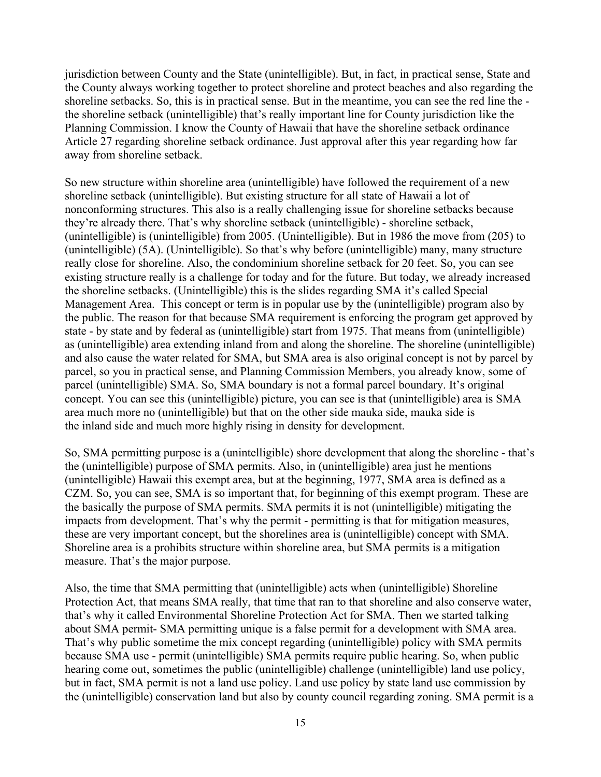jurisdiction between County and the State (unintelligible). But, in fact, in practical sense, State and the County always working together to protect shoreline and protect beaches and also regarding the shoreline setbacks. So, this is in practical sense. But in the meantime, you can see the red line the the shoreline setback (unintelligible) that's really important line for County jurisdiction like the Planning Commission. I know the County of Hawaii that have the shoreline setback ordinance Article 27 regarding shoreline setback ordinance. Just approval after this year regarding how far away from shoreline setback.

So new structure within shoreline area (unintelligible) have followed the requirement of a new shoreline setback (unintelligible). But existing structure for all state of Hawaii a lot of nonconforming structures. This also is a really challenging issue for shoreline setbacks because they're already there. That's why shoreline setback (unintelligible) - shoreline setback, (unintelligible) is (unintelligible) from 2005. (Unintelligible). But in 1986 the move from (205) to (unintelligible) (5A). (Unintelligible). So that's why before (unintelligible) many, many structure really close for shoreline. Also, the condominium shoreline setback for 20 feet. So, you can see existing structure really is a challenge for today and for the future. But today, we already increased the shoreline setbacks. (Unintelligible) this is the slides regarding SMA it's called Special Management Area. This concept or term is in popular use by the (unintelligible) program also by the public. The reason for that because SMA requirement is enforcing the program get approved by state - by state and by federal as (unintelligible) start from 1975. That means from (unintelligible) as (unintelligible) area extending inland from and along the shoreline. The shoreline (unintelligible) and also cause the water related for SMA, but SMA area is also original concept is not by parcel by parcel, so you in practical sense, and Planning Commission Members, you already know, some of parcel (unintelligible) SMA. So, SMA boundary is not a formal parcel boundary. It's original concept. You can see this (unintelligible) picture, you can see is that (unintelligible) area is SMA area much more no (unintelligible) but that on the other side mauka side, mauka side is the inland side and much more highly rising in density for development.

So, SMA permitting purpose is a (unintelligible) shore development that along the shoreline - that's the (unintelligible) purpose of SMA permits. Also, in (unintelligible) area just he mentions (unintelligible) Hawaii this exempt area, but at the beginning, 1977, SMA area is defined as a CZM. So, you can see, SMA is so important that, for beginning of this exempt program. These are the basically the purpose of SMA permits. SMA permits it is not (unintelligible) mitigating the impacts from development. That's why the permit - permitting is that for mitigation measures, these are very important concept, but the shorelines area is (unintelligible) concept with SMA. Shoreline area is a prohibits structure within shoreline area, but SMA permits is a mitigation measure. That's the major purpose.

Also, the time that SMA permitting that (unintelligible) acts when (unintelligible) Shoreline Protection Act, that means SMA really, that time that ran to that shoreline and also conserve water, that's why it called Environmental Shoreline Protection Act for SMA. Then we started talking about SMA permit- SMA permitting unique is a false permit for a development with SMA area. That's why public sometime the mix concept regarding (unintelligible) policy with SMA permits because SMA use - permit (unintelligible) SMA permits require public hearing. So, when public hearing come out, sometimes the public (unintelligible) challenge (unintelligible) land use policy, but in fact, SMA permit is not a land use policy. Land use policy by state land use commission by the (unintelligible) conservation land but also by county council regarding zoning. SMA permit is a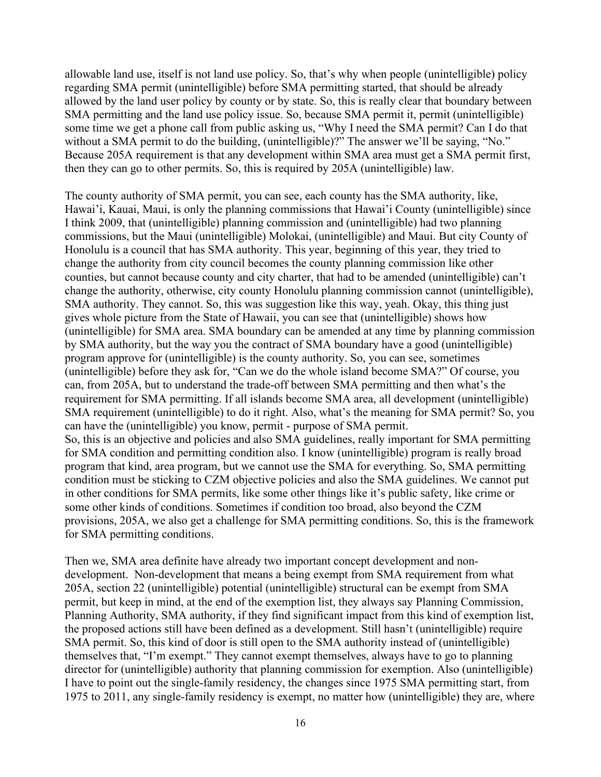allowable land use, itself is not land use policy. So, that's why when people (unintelligible) policy regarding SMA permit (unintelligible) before SMA permitting started, that should be already allowed by the land user policy by county or by state. So, this is really clear that boundary between SMA permitting and the land use policy issue. So, because SMA permit it, permit (unintelligible) some time we get a phone call from public asking us, "Why I need the SMA permit? Can I do that without a SMA permit to do the building, (unintelligible)?" The answer we'll be saying, "No." Because 205A requirement is that any development within SMA area must get a SMA permit first, then they can go to other permits. So, this is required by 205A (unintelligible) law.

The county authority of SMA permit, you can see, each county has the SMA authority, like, Hawai'i, Kauai, Maui, is only the planning commissions that Hawai'i County (unintelligible) since I think 2009, that (unintelligible) planning commission and (unintelligible) had two planning commissions, but the Maui (unintelligible) Molokai, (unintelligible) and Maui. But city County of Honolulu is a council that has SMA authority. This year, beginning of this year, they tried to change the authority from city council becomes the county planning commission like other counties, but cannot because county and city charter, that had to be amended (unintelligible) can't change the authority, otherwise, city county Honolulu planning commission cannot (unintelligible), SMA authority. They cannot. So, this was suggestion like this way, yeah. Okay, this thing just gives whole picture from the State of Hawaii, you can see that (unintelligible) shows how (unintelligible) for SMA area. SMA boundary can be amended at any time by planning commission by SMA authority, but the way you the contract of SMA boundary have a good (unintelligible) program approve for (unintelligible) is the county authority. So, you can see, sometimes (unintelligible) before they ask for, "Can we do the whole island become SMA?" Of course, you can, from 205A, but to understand the trade-off between SMA permitting and then what's the requirement for SMA permitting. If all islands become SMA area, all development (unintelligible) SMA requirement (unintelligible) to do it right. Also, what's the meaning for SMA permit? So, you can have the (unintelligible) you know, permit - purpose of SMA permit. So, this is an objective and policies and also SMA guidelines, really important for SMA permitting for SMA condition and permitting condition also. I know (unintelligible) program is really broad program that kind, area program, but we cannot use the SMA for everything. So, SMA permitting condition must be sticking to CZM objective policies and also the SMA guidelines. We cannot put in other conditions for SMA permits, like some other things like it's public safety, like crime or some other kinds of conditions. Sometimes if condition too broad, also beyond the CZM provisions, 205A, we also get a challenge for SMA permitting conditions. So, this is the framework for SMA permitting conditions.

Then we, SMA area definite have already two important concept development and nondevelopment. Non-development that means a being exempt from SMA requirement from what 205A, section 22 (unintelligible) potential (unintelligible) structural can be exempt from SMA permit, but keep in mind, at the end of the exemption list, they always say Planning Commission, Planning Authority, SMA authority, if they find significant impact from this kind of exemption list, the proposed actions still have been defined as a development. Still hasn't (unintelligible) require SMA permit. So, this kind of door is still open to the SMA authority instead of (unintelligible) themselves that, "I'm exempt." They cannot exempt themselves, always have to go to planning director for (unintelligible) authority that planning commission for exemption. Also (unintelligible) I have to point out the single-family residency, the changes since 1975 SMA permitting start, from 1975 to 2011, any single-family residency is exempt, no matter how (unintelligible) they are, where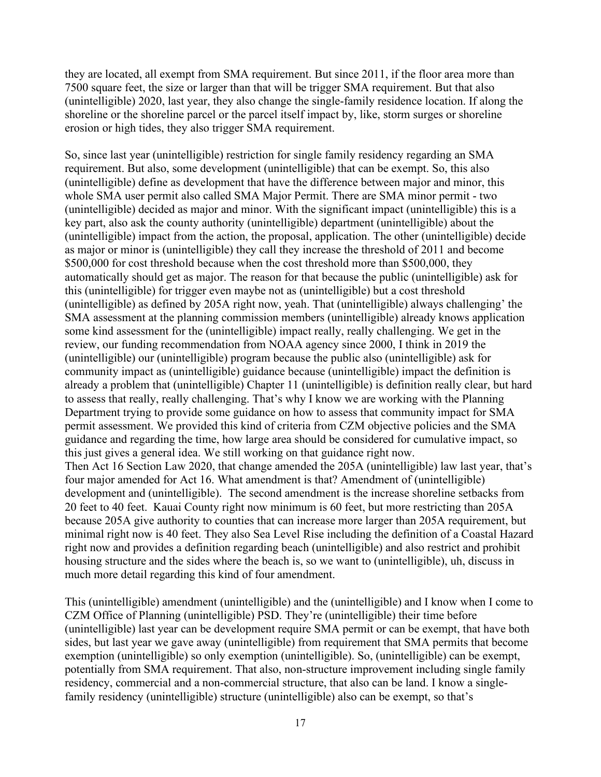they are located, all exempt from SMA requirement. But since 2011, if the floor area more than 7500 square feet, the size or larger than that will be trigger SMA requirement. But that also (unintelligible) 2020, last year, they also change the single-family residence location. If along the shoreline or the shoreline parcel or the parcel itself impact by, like, storm surges or shoreline erosion or high tides, they also trigger SMA requirement.

So, since last year (unintelligible) restriction for single family residency regarding an SMA requirement. But also, some development (unintelligible) that can be exempt. So, this also (unintelligible) define as development that have the difference between major and minor, this whole SMA user permit also called SMA Major Permit. There are SMA minor permit - two (unintelligible) decided as major and minor. With the significant impact (unintelligible) this is a key part, also ask the county authority (unintelligible) department (unintelligible) about the (unintelligible) impact from the action, the proposal, application. The other (unintelligible) decide as major or minor is (unintelligible) they call they increase the threshold of 2011 and become \$500,000 for cost threshold because when the cost threshold more than \$500,000, they automatically should get as major. The reason for that because the public (unintelligible) ask for this (unintelligible) for trigger even maybe not as (unintelligible) but a cost threshold (unintelligible) as defined by 205A right now, yeah. That (unintelligible) always challenging' the SMA assessment at the planning commission members (unintelligible) already knows application some kind assessment for the (unintelligible) impact really, really challenging. We get in the review, our funding recommendation from NOAA agency since 2000, I think in 2019 the (unintelligible) our (unintelligible) program because the public also (unintelligible) ask for community impact as (unintelligible) guidance because (unintelligible) impact the definition is already a problem that (unintelligible) Chapter 11 (unintelligible) is definition really clear, but hard to assess that really, really challenging. That's why I know we are working with the Planning Department trying to provide some guidance on how to assess that community impact for SMA permit assessment. We provided this kind of criteria from CZM objective policies and the SMA guidance and regarding the time, how large area should be considered for cumulative impact, so this just gives a general idea. We still working on that guidance right now. Then Act 16 Section Law 2020, that change amended the 205A (unintelligible) law last year, that's four major amended for Act 16. What amendment is that? Amendment of (unintelligible) development and (unintelligible). The second amendment is the increase shoreline setbacks from 20 feet to 40 feet. Kauai County right now minimum is 60 feet, but more restricting than 205A because 205A give authority to counties that can increase more larger than 205A requirement, but minimal right now is 40 feet. They also Sea Level Rise including the definition of a Coastal Hazard right now and provides a definition regarding beach (unintelligible) and also restrict and prohibit housing structure and the sides where the beach is, so we want to (unintelligible), uh, discuss in much more detail regarding this kind of four amendment.

This (unintelligible) amendment (unintelligible) and the (unintelligible) and I know when I come to CZM Office of Planning (unintelligible) PSD. They're (unintelligible) their time before (unintelligible) last year can be development require SMA permit or can be exempt, that have both sides, but last year we gave away (unintelligible) from requirement that SMA permits that become exemption (unintelligible) so only exemption (unintelligible). So, (unintelligible) can be exempt, potentially from SMA requirement. That also, non-structure improvement including single family residency, commercial and a non-commercial structure, that also can be land. I know a singlefamily residency (unintelligible) structure (unintelligible) also can be exempt, so that's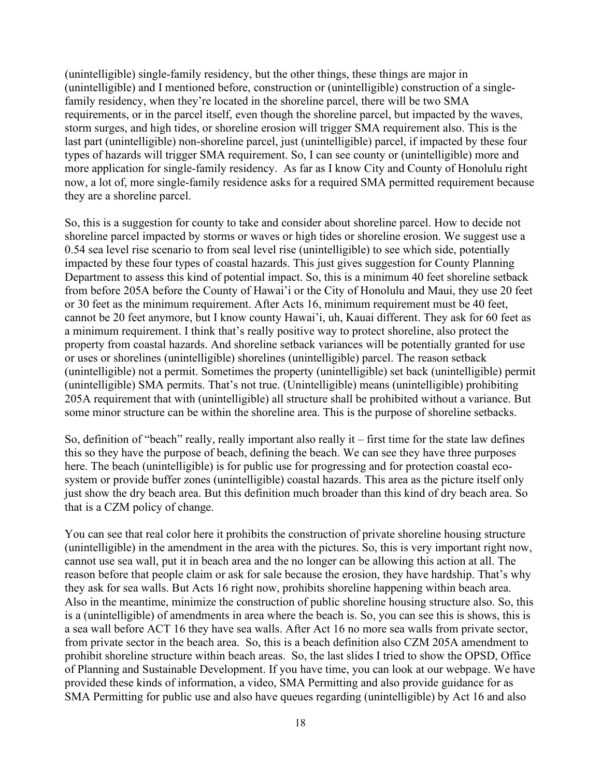(unintelligible) single-family residency, but the other things, these things are major in (unintelligible) and I mentioned before, construction or (unintelligible) construction of a singlefamily residency, when they're located in the shoreline parcel, there will be two SMA requirements, or in the parcel itself, even though the shoreline parcel, but impacted by the waves, storm surges, and high tides, or shoreline erosion will trigger SMA requirement also. This is the last part (unintelligible) non-shoreline parcel, just (unintelligible) parcel, if impacted by these four types of hazards will trigger SMA requirement. So, I can see county or (unintelligible) more and more application for single-family residency. As far as I know City and County of Honolulu right now, a lot of, more single-family residence asks for a required SMA permitted requirement because they are a shoreline parcel.

So, this is a suggestion for county to take and consider about shoreline parcel. How to decide not shoreline parcel impacted by storms or waves or high tides or shoreline erosion. We suggest use a 0.54 sea level rise scenario to from seal level rise (unintelligible) to see which side, potentially impacted by these four types of coastal hazards. This just gives suggestion for County Planning Department to assess this kind of potential impact. So, this is a minimum 40 feet shoreline setback from before 205A before the County of Hawai'i or the City of Honolulu and Maui, they use 20 feet or 30 feet as the minimum requirement. After Acts 16, minimum requirement must be 40 feet, cannot be 20 feet anymore, but I know county Hawai'i, uh, Kauai different. They ask for 60 feet as a minimum requirement. I think that's really positive way to protect shoreline, also protect the property from coastal hazards. And shoreline setback variances will be potentially granted for use or uses or shorelines (unintelligible) shorelines (unintelligible) parcel. The reason setback (unintelligible) not a permit. Sometimes the property (unintelligible) set back (unintelligible) permit (unintelligible) SMA permits. That's not true. (Unintelligible) means (unintelligible) prohibiting 205A requirement that with (unintelligible) all structure shall be prohibited without a variance. But some minor structure can be within the shoreline area. This is the purpose of shoreline setbacks.

So, definition of "beach" really, really important also really it – first time for the state law defines this so they have the purpose of beach, defining the beach. We can see they have three purposes here. The beach (unintelligible) is for public use for progressing and for protection coastal ecosystem or provide buffer zones (unintelligible) coastal hazards. This area as the picture itself only just show the dry beach area. But this definition much broader than this kind of dry beach area. So that is a CZM policy of change.

You can see that real color here it prohibits the construction of private shoreline housing structure (unintelligible) in the amendment in the area with the pictures. So, this is very important right now, cannot use sea wall, put it in beach area and the no longer can be allowing this action at all. The reason before that people claim or ask for sale because the erosion, they have hardship. That's why they ask for sea walls. But Acts 16 right now, prohibits shoreline happening within beach area. Also in the meantime, minimize the construction of public shoreline housing structure also. So, this is a (unintelligible) of amendments in area where the beach is. So, you can see this is shows, this is a sea wall before ACT 16 they have sea walls. After Act 16 no more sea walls from private sector, from private sector in the beach area. So, this is a beach definition also CZM 205A amendment to prohibit shoreline structure within beach areas. So, the last slides I tried to show the OPSD, Office of Planning and Sustainable Development. If you have time, you can look at our webpage. We have provided these kinds of information, a video, SMA Permitting and also provide guidance for as SMA Permitting for public use and also have queues regarding (unintelligible) by Act 16 and also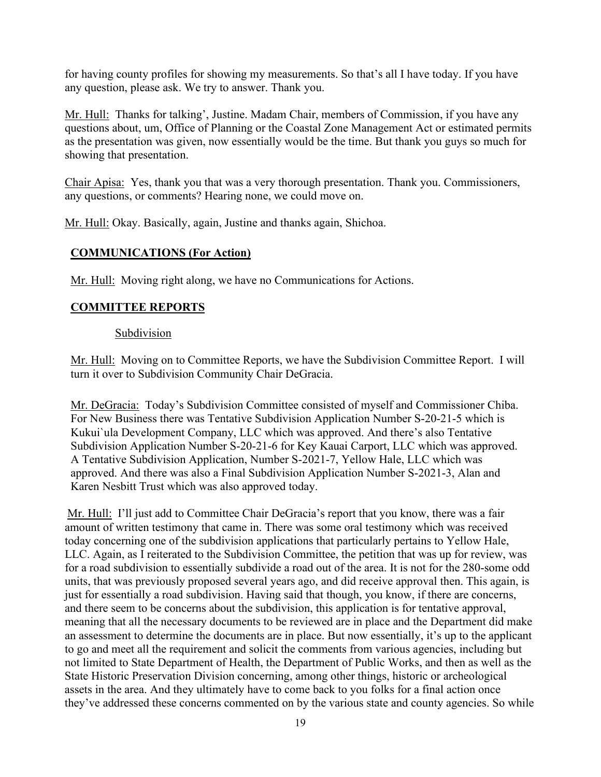for having county profiles for showing my measurements. So that's all I have today. If you have any question, please ask. We try to answer. Thank you.

Mr. Hull: Thanks for talking', Justine. Madam Chair, members of Commission, if you have any questions about, um, Office of Planning or the Coastal Zone Management Act or estimated permits as the presentation was given, now essentially would be the time. But thank you guys so much for showing that presentation.

Chair Apisa: Yes, thank you that was a very thorough presentation. Thank you. Commissioners, any questions, or comments? Hearing none, we could move on.

Mr. Hull: Okay. Basically, again, Justine and thanks again, Shichoa.

# **COMMUNICATIONS (For Action)**

Mr. Hull: Moving right along, we have no Communications for Actions.

# **COMMITTEE REPORTS**

# **Subdivision**

Mr. Hull: Moving on to Committee Reports, we have the Subdivision Committee Report. I will turn it over to Subdivision Community Chair DeGracia.

Mr. DeGracia: Today's Subdivision Committee consisted of myself and Commissioner Chiba. For New Business there was Tentative Subdivision Application Number S-20-21-5 which is Kukui`ula Development Company, LLC which was approved. And there's also Tentative Subdivision Application Number S-20-21-6 for Key Kauai Carport, LLC which was approved. A Tentative Subdivision Application, Number S-2021-7, Yellow Hale, LLC which was approved. And there was also a Final Subdivision Application Number S-2021-3, Alan and Karen Nesbitt Trust which was also approved today.

Mr. Hull: I'll just add to Committee Chair DeGracia's report that you know, there was a fair amount of written testimony that came in. There was some oral testimony which was received today concerning one of the subdivision applications that particularly pertains to Yellow Hale, LLC. Again, as I reiterated to the Subdivision Committee, the petition that was up for review, was for a road subdivision to essentially subdivide a road out of the area. It is not for the 280-some odd units, that was previously proposed several years ago, and did receive approval then. This again, is just for essentially a road subdivision. Having said that though, you know, if there are concerns, and there seem to be concerns about the subdivision, this application is for tentative approval, meaning that all the necessary documents to be reviewed are in place and the Department did make an assessment to determine the documents are in place. But now essentially, it's up to the applicant to go and meet all the requirement and solicit the comments from various agencies, including but not limited to State Department of Health, the Department of Public Works, and then as well as the State Historic Preservation Division concerning, among other things, historic or archeological assets in the area. And they ultimately have to come back to you folks for a final action once they've addressed these concerns commented on by the various state and county agencies. So while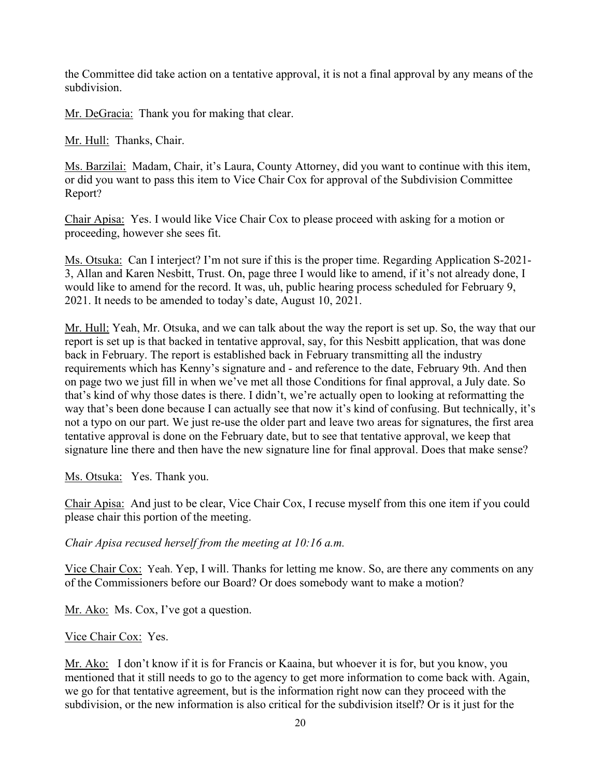the Committee did take action on a tentative approval, it is not a final approval by any means of the subdivision.

Mr. DeGracia: Thank you for making that clear.

Mr. Hull: Thanks, Chair.

Ms. Barzilai: Madam, Chair, it's Laura, County Attorney, did you want to continue with this item, or did you want to pass this item to Vice Chair Cox for approval of the Subdivision Committee Report?

Chair Apisa: Yes. I would like Vice Chair Cox to please proceed with asking for a motion or proceeding, however she sees fit.

Ms. Otsuka: Can I interject? I'm not sure if this is the proper time. Regarding Application S-2021- 3, Allan and Karen Nesbitt, Trust. On, page three I would like to amend, if it's not already done, I would like to amend for the record. It was, uh, public hearing process scheduled for February 9, 2021. It needs to be amended to today's date, August 10, 2021.

Mr. Hull: Yeah, Mr. Otsuka, and we can talk about the way the report is set up. So, the way that our report is set up is that backed in tentative approval, say, for this Nesbitt application, that was done back in February. The report is established back in February transmitting all the industry requirements which has Kenny's signature and - and reference to the date, February 9th. And then on page two we just fill in when we've met all those Conditions for final approval, a July date. So that's kind of why those dates is there. I didn't, we're actually open to looking at reformatting the way that's been done because I can actually see that now it's kind of confusing. But technically, it's not a typo on our part. We just re-use the older part and leave two areas for signatures, the first area tentative approval is done on the February date, but to see that tentative approval, we keep that signature line there and then have the new signature line for final approval. Does that make sense?

Ms. Otsuka: Yes. Thank you.

Chair Apisa: And just to be clear, Vice Chair Cox, I recuse myself from this one item if you could please chair this portion of the meeting.

*Chair Apisa recused herself from the meeting at 10:16 a.m.*

Vice Chair Cox: Yeah. Yep, I will. Thanks for letting me know. So, are there any comments on any of the Commissioners before our Board? Or does somebody want to make a motion?

Mr. Ako: Ms. Cox, I've got a question.

### Vice Chair Cox: Yes.

Mr. Ako: I don't know if it is for Francis or Kaaina, but whoever it is for, but you know, you mentioned that it still needs to go to the agency to get more information to come back with. Again, we go for that tentative agreement, but is the information right now can they proceed with the subdivision, or the new information is also critical for the subdivision itself? Or is it just for the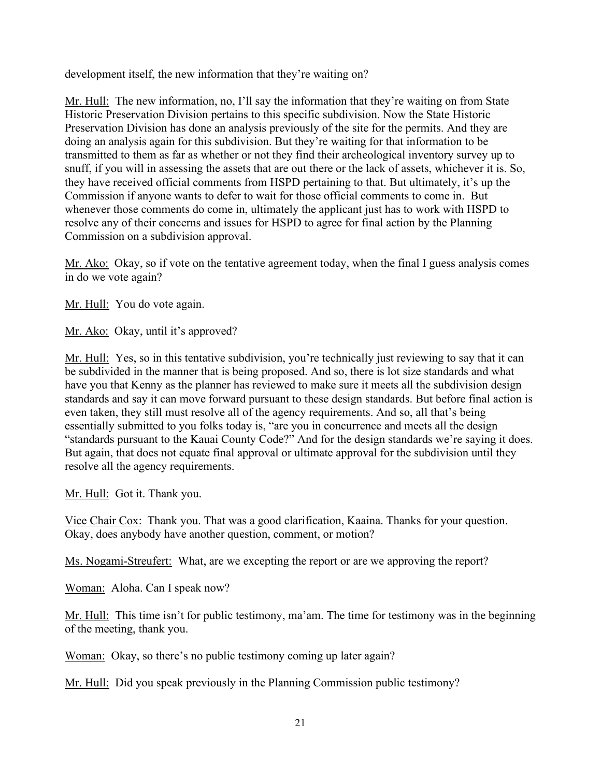development itself, the new information that they're waiting on?

Mr. Hull: The new information, no, I'll say the information that they're waiting on from State Historic Preservation Division pertains to this specific subdivision. Now the State Historic Preservation Division has done an analysis previously of the site for the permits. And they are doing an analysis again for this subdivision. But they're waiting for that information to be transmitted to them as far as whether or not they find their archeological inventory survey up to snuff, if you will in assessing the assets that are out there or the lack of assets, whichever it is. So, they have received official comments from HSPD pertaining to that. But ultimately, it's up the Commission if anyone wants to defer to wait for those official comments to come in. But whenever those comments do come in, ultimately the applicant just has to work with HSPD to resolve any of their concerns and issues for HSPD to agree for final action by the Planning Commission on a subdivision approval.

Mr. Ako: Okay, so if vote on the tentative agreement today, when the final I guess analysis comes in do we vote again?

Mr. Hull: You do vote again.

Mr. Ako: Okay, until it's approved?

Mr. Hull: Yes, so in this tentative subdivision, you're technically just reviewing to say that it can be subdivided in the manner that is being proposed. And so, there is lot size standards and what have you that Kenny as the planner has reviewed to make sure it meets all the subdivision design standards and say it can move forward pursuant to these design standards. But before final action is even taken, they still must resolve all of the agency requirements. And so, all that's being essentially submitted to you folks today is, "are you in concurrence and meets all the design "standards pursuant to the Kauai County Code?" And for the design standards we're saying it does. But again, that does not equate final approval or ultimate approval for the subdivision until they resolve all the agency requirements.

Mr. Hull: Got it. Thank you.

Vice Chair Cox: Thank you. That was a good clarification, Kaaina. Thanks for your question. Okay, does anybody have another question, comment, or motion?

Ms. Nogami-Streufert: What, are we excepting the report or are we approving the report?

Woman: Aloha. Can I speak now?

Mr. Hull: This time isn't for public testimony, ma'am. The time for testimony was in the beginning of the meeting, thank you.

Woman: Okay, so there's no public testimony coming up later again?

Mr. Hull: Did you speak previously in the Planning Commission public testimony?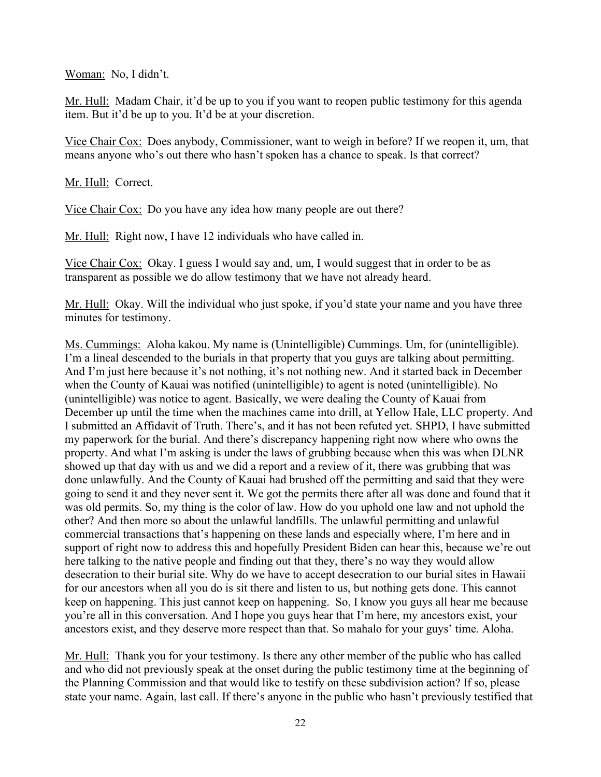Woman: No, I didn't.

Mr. Hull: Madam Chair, it'd be up to you if you want to reopen public testimony for this agenda item. But it'd be up to you. It'd be at your discretion.

Vice Chair Cox: Does anybody, Commissioner, want to weigh in before? If we reopen it, um, that means anyone who's out there who hasn't spoken has a chance to speak. Is that correct?

Mr. Hull: Correct.

Vice Chair Cox: Do you have any idea how many people are out there?

Mr. Hull: Right now, I have 12 individuals who have called in.

Vice Chair Cox: Okay. I guess I would say and, um, I would suggest that in order to be as transparent as possible we do allow testimony that we have not already heard.

Mr. Hull: Okay. Will the individual who just spoke, if you'd state your name and you have three minutes for testimony.

Ms. Cummings: Aloha kakou. My name is (Unintelligible) Cummings. Um, for (unintelligible). I'm a lineal descended to the burials in that property that you guys are talking about permitting. And I'm just here because it's not nothing, it's not nothing new. And it started back in December when the County of Kauai was notified (unintelligible) to agent is noted (unintelligible). No (unintelligible) was notice to agent. Basically, we were dealing the County of Kauai from December up until the time when the machines came into drill, at Yellow Hale, LLC property. And I submitted an Affidavit of Truth. There's, and it has not been refuted yet. SHPD, I have submitted my paperwork for the burial. And there's discrepancy happening right now where who owns the property. And what I'm asking is under the laws of grubbing because when this was when DLNR showed up that day with us and we did a report and a review of it, there was grubbing that was done unlawfully. And the County of Kauai had brushed off the permitting and said that they were going to send it and they never sent it. We got the permits there after all was done and found that it was old permits. So, my thing is the color of law. How do you uphold one law and not uphold the other? And then more so about the unlawful landfills. The unlawful permitting and unlawful commercial transactions that's happening on these lands and especially where, I'm here and in support of right now to address this and hopefully President Biden can hear this, because we're out here talking to the native people and finding out that they, there's no way they would allow desecration to their burial site. Why do we have to accept desecration to our burial sites in Hawaii for our ancestors when all you do is sit there and listen to us, but nothing gets done. This cannot keep on happening. This just cannot keep on happening. So, I know you guys all hear me because you're all in this conversation. And I hope you guys hear that I'm here, my ancestors exist, your ancestors exist, and they deserve more respect than that. So mahalo for your guys' time. Aloha.

Mr. Hull: Thank you for your testimony. Is there any other member of the public who has called and who did not previously speak at the onset during the public testimony time at the beginning of the Planning Commission and that would like to testify on these subdivision action? If so, please state your name. Again, last call. If there's anyone in the public who hasn't previously testified that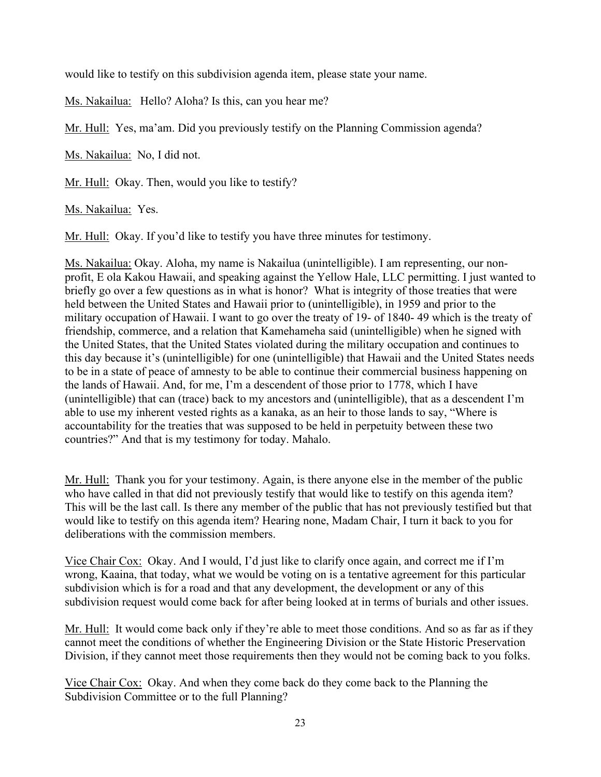would like to testify on this subdivision agenda item, please state your name.

Ms. Nakailua: Hello? Aloha? Is this, can you hear me?

Mr. Hull: Yes, ma'am. Did you previously testify on the Planning Commission agenda?

Ms. Nakailua: No, I did not.

Mr. Hull: Okay. Then, would you like to testify?

Ms. Nakailua: Yes.

Mr. Hull: Okay. If you'd like to testify you have three minutes for testimony.

Ms. Nakailua: Okay. Aloha, my name is Nakailua (unintelligible). I am representing, our nonprofit, E ola Kakou Hawaii, and speaking against the Yellow Hale, LLC permitting. I just wanted to briefly go over a few questions as in what is honor? What is integrity of those treaties that were held between the United States and Hawaii prior to (unintelligible), in 1959 and prior to the military occupation of Hawaii. I want to go over the treaty of 19- of 1840- 49 which is the treaty of friendship, commerce, and a relation that Kamehameha said (unintelligible) when he signed with the United States, that the United States violated during the military occupation and continues to this day because it's (unintelligible) for one (unintelligible) that Hawaii and the United States needs to be in a state of peace of amnesty to be able to continue their commercial business happening on the lands of Hawaii. And, for me, I'm a descendent of those prior to 1778, which I have (unintelligible) that can (trace) back to my ancestors and (unintelligible), that as a descendent I'm able to use my inherent vested rights as a kanaka, as an heir to those lands to say, "Where is accountability for the treaties that was supposed to be held in perpetuity between these two countries?" And that is my testimony for today. Mahalo.

Mr. Hull: Thank you for your testimony. Again, is there anyone else in the member of the public who have called in that did not previously testify that would like to testify on this agenda item? This will be the last call. Is there any member of the public that has not previously testified but that would like to testify on this agenda item? Hearing none, Madam Chair, I turn it back to you for deliberations with the commission members.

Vice Chair Cox: Okay. And I would, I'd just like to clarify once again, and correct me if I'm wrong, Kaaina, that today, what we would be voting on is a tentative agreement for this particular subdivision which is for a road and that any development, the development or any of this subdivision request would come back for after being looked at in terms of burials and other issues.

Mr. Hull: It would come back only if they're able to meet those conditions. And so as far as if they cannot meet the conditions of whether the Engineering Division or the State Historic Preservation Division, if they cannot meet those requirements then they would not be coming back to you folks.

Vice Chair Cox: Okay. And when they come back do they come back to the Planning the Subdivision Committee or to the full Planning?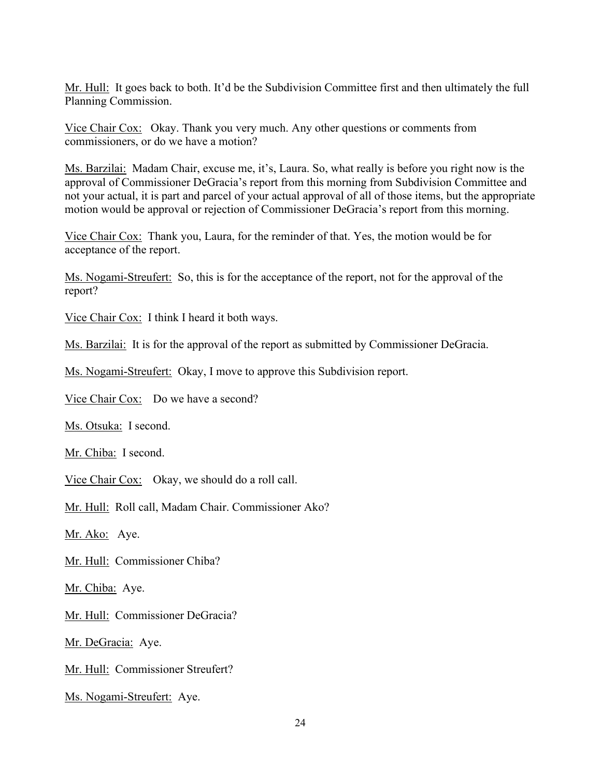Mr. Hull: It goes back to both. It'd be the Subdivision Committee first and then ultimately the full Planning Commission.

Vice Chair Cox: Okay. Thank you very much. Any other questions or comments from commissioners, or do we have a motion?

Ms. Barzilai: Madam Chair, excuse me, it's, Laura. So, what really is before you right now is the approval of Commissioner DeGracia's report from this morning from Subdivision Committee and not your actual, it is part and parcel of your actual approval of all of those items, but the appropriate motion would be approval or rejection of Commissioner DeGracia's report from this morning.

Vice Chair Cox: Thank you, Laura, for the reminder of that. Yes, the motion would be for acceptance of the report.

Ms. Nogami-Streufert: So, this is for the acceptance of the report, not for the approval of the report?

Vice Chair Cox: I think I heard it both ways.

Ms. Barzilai: It is for the approval of the report as submitted by Commissioner DeGracia.

Ms. Nogami-Streufert: Okay, I move to approve this Subdivision report.

Vice Chair Cox: Do we have a second?

Ms. Otsuka: I second.

Mr. Chiba: I second.

Vice Chair Cox: Okay, we should do a roll call.

Mr. Hull: Roll call, Madam Chair. Commissioner Ako?

Mr. Ako: Aye.

Mr. Hull: Commissioner Chiba?

Mr. Chiba: Aye.

Mr. Hull: Commissioner DeGracia?

Mr. DeGracia: Aye.

Mr. Hull: Commissioner Streufert?

Ms. Nogami-Streufert: Aye.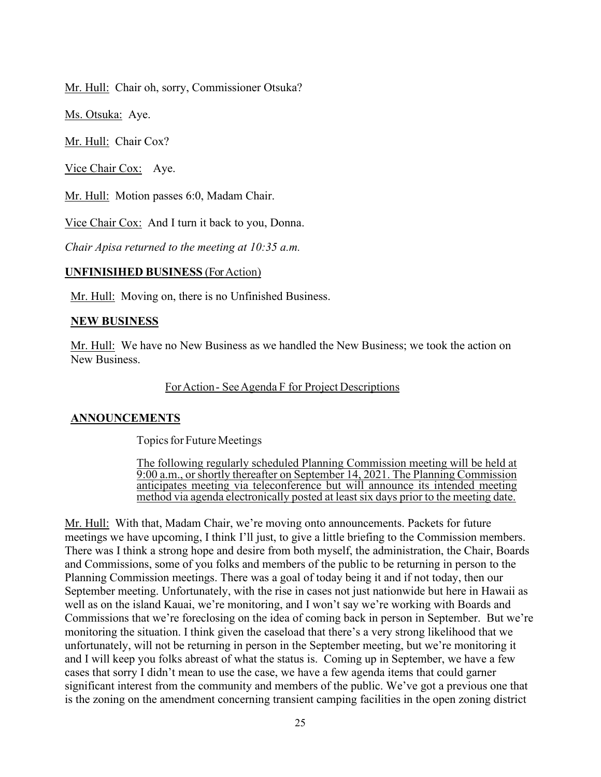Mr. Hull: Chair oh, sorry, Commissioner Otsuka?

Ms. Otsuka: Aye.

Mr. Hull: Chair Cox?

Vice Chair Cox: Aye.

Mr. Hull: Motion passes 6:0, Madam Chair.

Vice Chair Cox: And I turn it back to you, Donna.

*Chair Apisa returned to the meeting at 10:35 a.m.*

#### **UNFINISIHED BUSINESS** (ForAction)

Mr. Hull: Moving on, there is no Unfinished Business.

#### **NEW BUSINESS**

Mr. Hull: We have no New Business as we handled the New Business; we took the action on New Business.

#### ForAction- SeeAgenda F for Project Descriptions

### **ANNOUNCEMENTS**

Topics for Future Meetings

The following regularly scheduled Planning Commission meeting will be held at 9:00 a.m., or shortly thereafter on September 14, 2021. The Planning Commission anticipates meeting via teleconference but will announce its intended meeting method via agenda electronically posted at least six days prior to the meeting date.

Mr. Hull: With that, Madam Chair, we're moving onto announcements. Packets for future meetings we have upcoming, I think I'll just, to give a little briefing to the Commission members. There was I think a strong hope and desire from both myself, the administration, the Chair, Boards and Commissions, some of you folks and members of the public to be returning in person to the Planning Commission meetings. There was a goal of today being it and if not today, then our September meeting. Unfortunately, with the rise in cases not just nationwide but here in Hawaii as well as on the island Kauai, we're monitoring, and I won't say we're working with Boards and Commissions that we're foreclosing on the idea of coming back in person in September. But we're monitoring the situation. I think given the caseload that there's a very strong likelihood that we unfortunately, will not be returning in person in the September meeting, but we're monitoring it and I will keep you folks abreast of what the status is. Coming up in September, we have a few cases that sorry I didn't mean to use the case, we have a few agenda items that could garner significant interest from the community and members of the public. We've got a previous one that is the zoning on the amendment concerning transient camping facilities in the open zoning district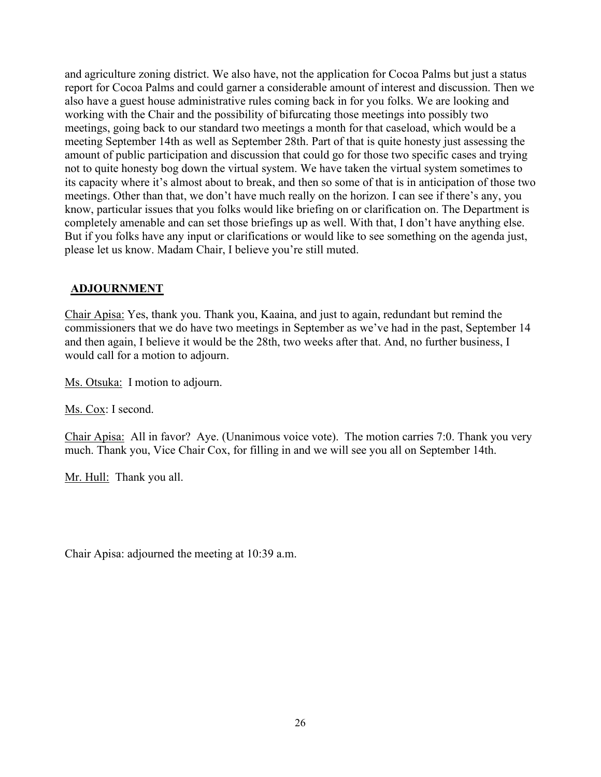and agriculture zoning district. We also have, not the application for Cocoa Palms but just a status report for Cocoa Palms and could garner a considerable amount of interest and discussion. Then we also have a guest house administrative rules coming back in for you folks. We are looking and working with the Chair and the possibility of bifurcating those meetings into possibly two meetings, going back to our standard two meetings a month for that caseload, which would be a meeting September 14th as well as September 28th. Part of that is quite honesty just assessing the amount of public participation and discussion that could go for those two specific cases and trying not to quite honesty bog down the virtual system. We have taken the virtual system sometimes to its capacity where it's almost about to break, and then so some of that is in anticipation of those two meetings. Other than that, we don't have much really on the horizon. I can see if there's any, you know, particular issues that you folks would like briefing on or clarification on. The Department is completely amenable and can set those briefings up as well. With that, I don't have anything else. But if you folks have any input or clarifications or would like to see something on the agenda just, please let us know. Madam Chair, I believe you're still muted.

### **ADJOURNMENT**

Chair Apisa: Yes, thank you. Thank you, Kaaina, and just to again, redundant but remind the commissioners that we do have two meetings in September as we've had in the past, September 14 and then again, I believe it would be the 28th, two weeks after that. And, no further business, I would call for a motion to adjourn.

Ms. Otsuka: I motion to adjourn.

Ms. Cox: I second.

Chair Apisa: All in favor? Aye. (Unanimous voice vote). The motion carries 7:0. Thank you very much. Thank you, Vice Chair Cox, for filling in and we will see you all on September 14th.

Mr. Hull: Thank you all.

Chair Apisa: adjourned the meeting at 10:39 a.m.